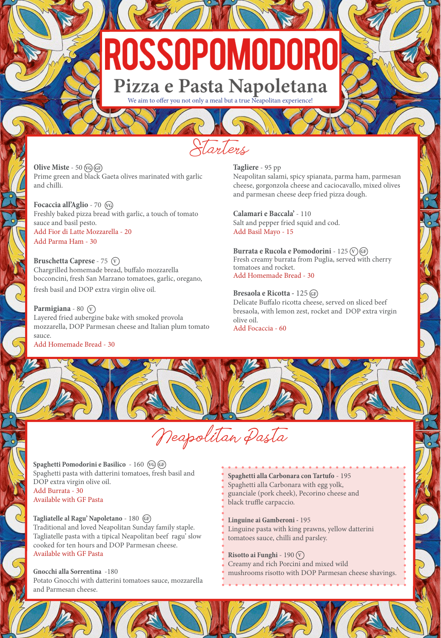# ROSSOPOMODORO Pizza e Pasta Napoletana

We aim to offer you not only a meal but a true Neapolitan experience!

Starters

Neapolitan Pasta

**Olive Miste** - 50 **VG GF** Prime green and black Gaeta olives marinated with garlic and chilli.

**Focaccia all'Aglio** - 70 **VG** Freshly baked pizza bread with garlic, a touch of tomato sauce and basil pesto. Add Fior di Latte Mozzarella - 20 Add Parma Ham - 30

**Bruschetta Caprese - 75**  $\widehat{V}$ Chargrilled homemade bread, buffalo mozzarella bocconcini, fresh San Marzano tomatoes, garlic, oregano, fresh basil and DOP extra virgin olive oil.

**Parmigiana** - 80  $\widehat{V}$ Layered fried aubergine bake with smoked provola mozzarella, DOP Parmesan cheese and Italian plum tomato sauce. Add Homemade Bread - 30

**Tagliere** - 95 pp Neapolitan salami, spicy spianata, parma ham, parmesan cheese, gorgonzola cheese and caciocavallo, mixed olives and parmesan cheese deep fried pizza dough.

**Calamari e Baccala'** - 110 Salt and pepper fried squid and cod. Add Basil Mayo - 15

**Burrata e Rucola e Pomodorini** - 125 **<sup>V</sup> GF** Fresh creamy burrata from Puglia, served with cherry tomatoes and rocket. Add Homemade Bread - 30

**Bresaola e Ricotta -** 125 **GF** Delicate Buffalo ricotta cheese, served on sliced beef bresaola, with lemon zest, rocket and DOP extra virgin olive oil. Add Focaccia - 60

**Spaghetti Pomodorini e Basilico** - 160 **VG GF** Spaghetti pasta with datterini tomatoes, fresh basil and DOP extra virgin olive oil. Add Burrata - 30 Available with GF Pasta

**Tagliatelle al Ragu' Napoletano** - 180 **GF** Traditional and loved Neapolitan Sunday family staple. Tagliatelle pasta with a tipical Neapolitan beef ragu' slow cooked for ten hours and DOP Parmesan cheese. Available with GF Pasta

**Gnocchi alla Sorrentina** -180 Potato Gnocchi with datterini tomatoes sauce, mozzarella and Parmesan cheese.

**Spaghetti alla Carbonara con Tartufo** - 195 Spaghetti alla Carbonara with egg yolk, guanciale (pork cheek), Pecorino cheese and black truffle carpaccio.

**Linguine ai Gamberoni -** 195 Linguine pasta with king prawns, yellow datterini tomatoes sauce, chilli and parsley.

**Risotto ai Funghi** - 190 **<sup>V</sup>** Creamy and rich Porcini and mixed wild mushrooms risotto with DOP Parmesan cheese shavings.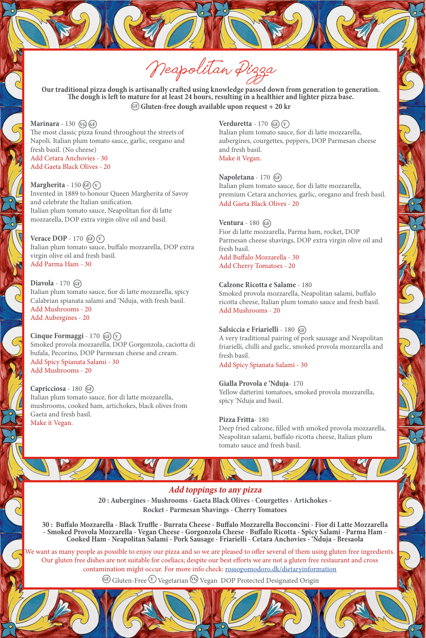Neapolitan Pizza

**Our traditional pizza dough is artisanally crafted using knowledge passed down from generation to generation. The dough is left to mature for at least 24 hours, resulting in a healthier and lighter pizza base. GF Gluten-free dough available upon request + 20 kr**

**Marinara** - 130 **VG GF** The most classic pizza found throughout the streets of Napoli. Italian plum tomato sauce, garlic, oregano and fresh basil. (No cheese) Add Cetara Anchovies - 30 Add Gaeta Black Olives - 20

**Margherita** -  $150$  (GF)  $\widehat{V}$ Invented in 1889 to honour Queen Margherita of Savoy and celebrate the Italian unification. Italian plum tomato sauce, Neapolitan fior di latte mozzarella, DOP extra virgin olive oil and basil.

**Verace DOP** - 170 (GF) (V) Italian plum tomato sauce, buffalo mozzarella, DOP extra virgin olive oil and fresh basil. Add Parma Ham - 30

**Diavola** - 170 **GF** Italian plum tomato sauce, fior di latte mozzarella, spicy Calabrian spianata salami and 'Nduja, with fresh basil. Add Mushrooms - 20 Add Aubergines - 20

**Cinque Formaggi** - 170  $(F)$   $(\overline{v})$ Smoked provola mozzarella, DOP Gorgonzola, caciotta di bufala, Pecorino, DOP Parmesan cheese and cream. Add Spicy Spianata Salami - 30 Add Mushrooms - 20

**Capricciosa** - 180 **GF** Italian plum tomato sauce, fior di latte mozzarella, mushrooms, cooked ham, artichokes, black olives from Gaeta and fresh basil. Make it Vegan.

**Verduretta** - 170 **GF**  $(v)$ Italian plum tomato sauce, fior di latte mozzarella, aubergines, courgettes, peppers, DOP Parmesan cheese and fresh basil. Make it Vegan.

**Napoletana** - 170 **GF** Italian plum tomato sauce, fior di latte mozzarella, premium Cetara anchovies, garlic, oregano and fresh basil. Add Gaeta Black Olives - 20

# **Ventura** - 180 **GF**

Fior di latte mozzarella, Parma ham, rocket, DOP Parmesan cheese shavings, DOP extra virgin olive oil and fresh basil. Add Buffalo Mozzarella - 30

Add Cherry Tomatoes - 20

### **Calzone Ricotta e Salame** - 180

Smoked provola mozzarella, Neapolitan salami, buffalo ricotta cheese, Italian plum tomato sauce and fresh basil. Add Mushrooms - 20

## **Salsiccia e Friarielli** - 180 **GF**

A very traditional pairing of pork sausage and Neapolitan friarielli, chilli and garlic, smoked provola mozzarella and fresh basil.

Add Spicy Spianata Salami - 30

#### **Gialla Provola e 'Nduja**- 170

Yellow datterini tomatoes, smoked provola mozzarella, spicy 'Nduja and basil.

#### **Pizza Fritta**- 180

Deep fried calzone, filled with smoked provola mozzarella, Neapolitan salami, buffalo ricotta cheese, Italian plum tomato sauce and fresh basil.

# **Add toppings to any pizza**

**20 : Aubergines - Mushrooms - Gaeta Black Olives - Courgettes - Artichokes - Rocket - Parmesan Shavings - Cherry Tomatoes**

30 : Buffalo Mozzarella - Black Truffle - Burrata Cheese - Buffalo Mozzarella Bocconcini - Fior di Latte Mozzarella - Smoked Provola Mozzarella - Vegan Cheese - Gorgonzola Cheese - Buffalo Ricotta - Spicy Salami - Parma Ha

We want as many people as possible to enjoy our pizza and so we are pleased to offer several of them using gluten free ingredients. Our gluten free dishes are not suitable for coeliacs; despite our best efforts we are not a gluten free restaurant and cross contamination might occur. For more info check: rossopomodoro.dk/dietaryinformation

**GF** Gluten-Free **<sup>V</sup>** Vegetarian **VG** Vegan DOP Protected Designated Origin